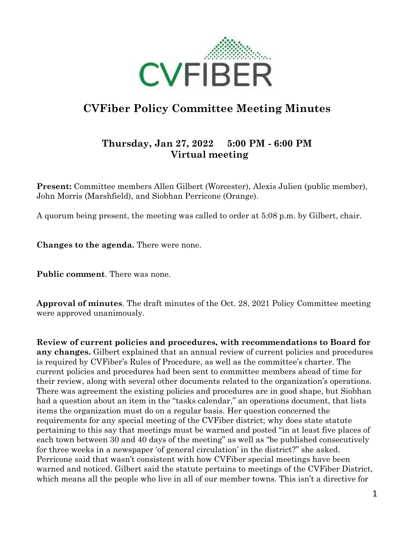

## **CVFiber Policy Committee Meeting Minutes**

## **Thursday, Jan 27, 2022 5:00 PM - 6:00 PM Virtual meeting**

**Present:** Committee members Allen Gilbert (Worcester), Alexis Julien (public member), John Morris (Marshfield), and Siobhan Perricone (Orange).

A quorum being present, the meeting was called to order at 5:08 p.m. by Gilbert, chair.

**Changes to the agenda.** There were none.

**Public comment**. There was none.

**Approval of minutes**. The draft minutes of the Oct. 28, 2021 Policy Committee meeting were approved unanimously.

**Review of current policies and procedures, with recommendations to Board for any changes.** Gilbert explained that an annual review of current policies and procedures is required by CVFiber's Rules of Procedure, as well as the committee's charter. The current policies and procedures had been sent to committee members ahead of time for their review, along with several other documents related to the organization's operations. There was agreement the existing policies and procedures are in good shape, but Siobhan had a question about an item in the "tasks calendar," an operations document, that lists items the organization must do on a regular basis. Her question concerned the requirements for any special meeting of the CVFiber district; why does state statute pertaining to this say that meetings must be warned and posted "in at least five places of each town between 30 and 40 days of the meeting" as well as "be published consecutively for three weeks in a newspaper 'of general circulation' in the district?" she asked. Perricone said that wasn't consistent with how CVFiber special meetings have been warned and noticed. Gilbert said the statute pertains to meetings of the CVFiber District, which means all the people who live in all of our member towns. This isn't a directive for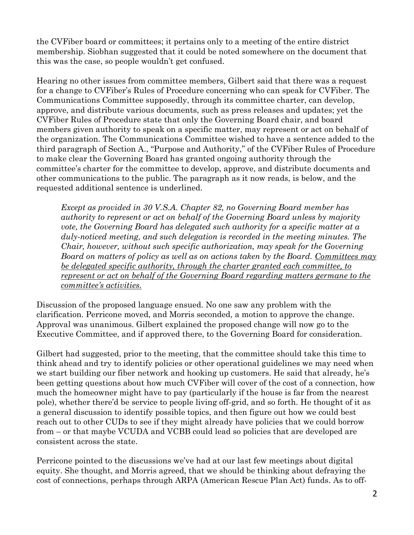the CVFiber board or committees; it pertains only to a meeting of the entire district membership. Siobhan suggested that it could be noted somewhere on the document that this was the case, so people wouldn't get confused.

Hearing no other issues from committee members, Gilbert said that there was a request for a change to CVFiber's Rules of Procedure concerning who can speak for CVFiber. The Communications Committee supposedly, through its committee charter, can develop, approve, and distribute various documents, such as press releases and updates; yet the CVFiber Rules of Procedure state that only the Governing Board chair, and board members given authority to speak on a specific matter, may represent or act on behalf of the organization. The Communications Committee wished to have a sentence added to the third paragraph of Section A., "Purpose and Authority," of the CVFiber Rules of Procedure to make clear the Governing Board has granted ongoing authority through the committee's charter for the committee to develop, approve, and distribute documents and other communications to the public. The paragraph as it now reads, is below, and the requested additional sentence is underlined.

*Except as provided in 30 V.S.A. Chapter 82, no Governing Board member has authority to represent or act on behalf of the Governing Board unless by majority vote, the Governing Board has delegated such authority for a specific matter at a duly-noticed meeting, and such delegation is recorded in the meeting minutes. The Chair, however, without such specific authorization, may speak for the Governing Board on matters of policy as well as on actions taken by the Board. Committees may be delegated specific authority, through the charter granted each committee, to represent or act on behalf of the Governing Board regarding matters germane to the committee's activities.*

Discussion of the proposed language ensued. No one saw any problem with the clarification. Perricone moved, and Morris seconded, a motion to approve the change. Approval was unanimous. Gilbert explained the proposed change will now go to the Executive Committee, and if approved there, to the Governing Board for consideration.

Gilbert had suggested, prior to the meeting, that the committee should take this time to think ahead and try to identify policies or other operational guidelines we may need when we start building our fiber network and hooking up customers. He said that already, he's been getting questions about how much CVFiber will cover of the cost of a connection, how much the homeowner might have to pay (particularly if the house is far from the nearest pole), whether there'd be service to people living off-grid, and so forth. He thought of it as a general discussion to identify possible topics, and then figure out how we could best reach out to other CUDs to see if they might already have policies that we could borrow from – or that maybe VCUDA and VCBB could lead so policies that are developed are consistent across the state.

Perricone pointed to the discussions we've had at our last few meetings about digital equity. She thought, and Morris agreed, that we should be thinking about defraying the cost of connections, perhaps through ARPA (American Rescue Plan Act) funds. As to off-